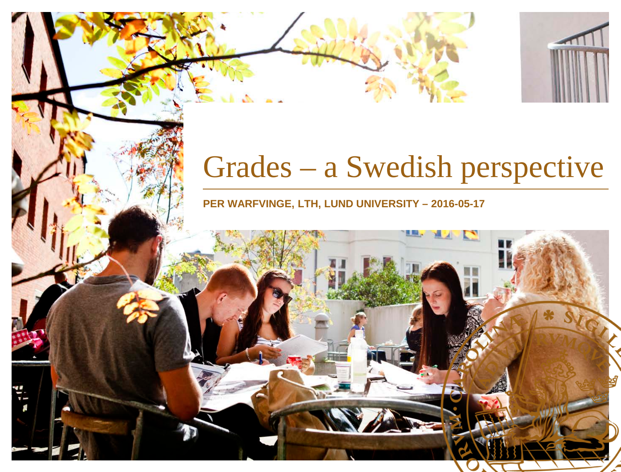# Grades – a Swedish perspective

**PER WARFVINGE, LTH, LUND UNIVERSITY – 2016-05-17**

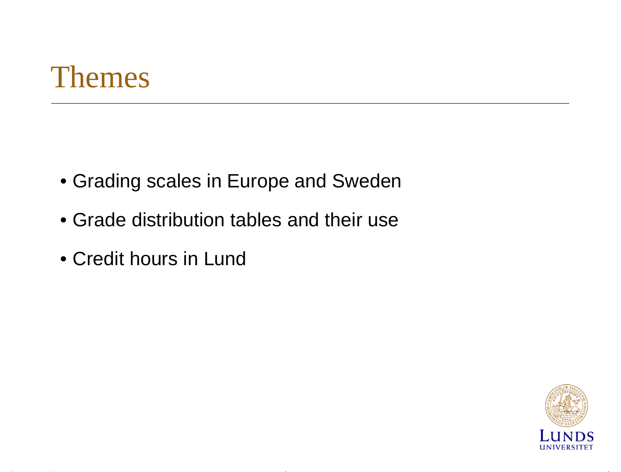#### Themes

- Grading scales in Europe and Sweden
- Grade distribution tables and their use
- Credit hours in Lund

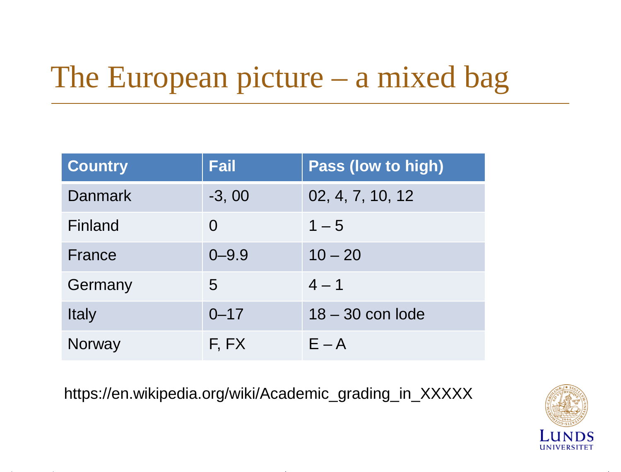# The European picture – a mixed bag

| <b>Country</b> | <b>Fail</b> | <b>Pass (low to high)</b> |
|----------------|-------------|---------------------------|
| Danmark        | $-3,00$     | 02, 4, 7, 10, 12          |
| Finland        | $\Omega$    | $1 - 5$                   |
| France         | $0 - 9.9$   | $10 - 20$                 |
| Germany        | 5           | $4 - 1$                   |
| <b>Italy</b>   | $0 - 17$    | $18 - 30$ con lode        |
| Norway         | F, FX       | $E - A$                   |

https://en.wikipedia.org/wiki/Academic\_grading\_in\_XXXXX

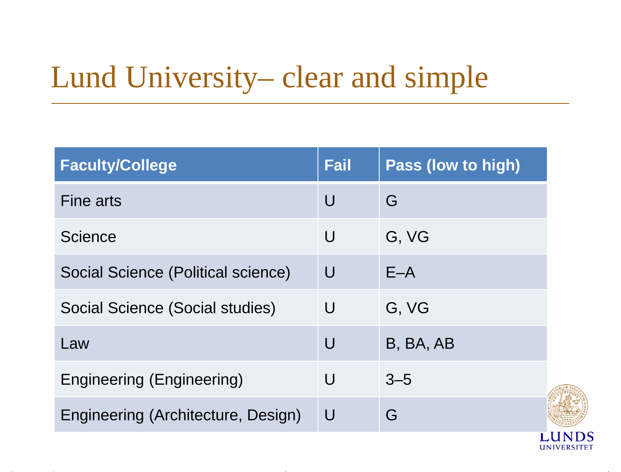## Lund University– clear and simple

| <b>Faculty/College</b>             | <b>Fail</b> | Pass (low to high) |  |
|------------------------------------|-------------|--------------------|--|
| <b>Fine arts</b>                   | U           | G                  |  |
| <b>Science</b>                     | U           | G, VG              |  |
| Social Science (Political science) | U           | $E - A$            |  |
| Social Science (Social studies)    | U           | G, VG              |  |
| Law                                | $\bigcup$   | B, BA, AB          |  |
| <b>Engineering (Engineering)</b>   | U           | $3 - 5$            |  |
| Engineering (Architecture, Design) | $\bigcup$   | G                  |  |
|                                    |             |                    |  |

**UNIVERSITET**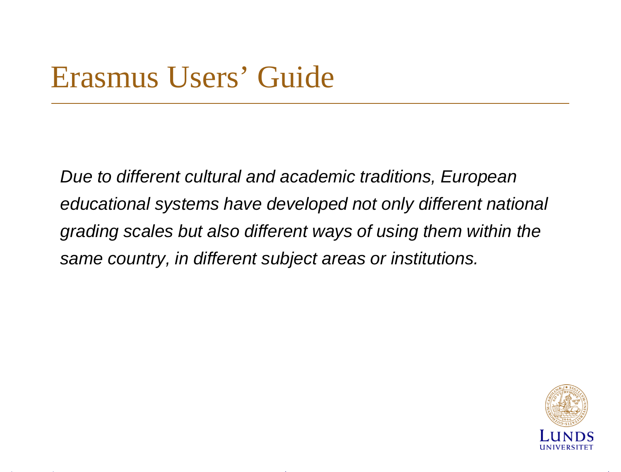### Erasmus Users' Guide

*Due to different cultural and academic traditions, European educational systems have developed not only different national grading scales but also different ways of using them within the same country, in different subject areas or institutions.*

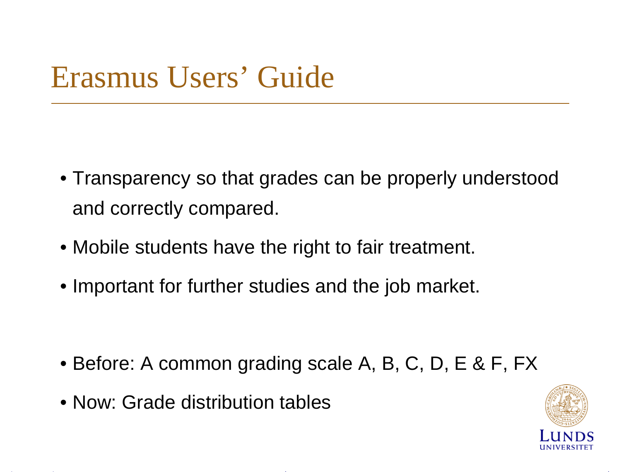## Erasmus Users' Guide

- Transparency so that grades can be properly understood and correctly compared.
- Mobile students have the right to fair treatment.
- Important for further studies and the job market.

- Before: A common grading scale A, B, C, D, E & F, FX
- Now: Grade distribution tables

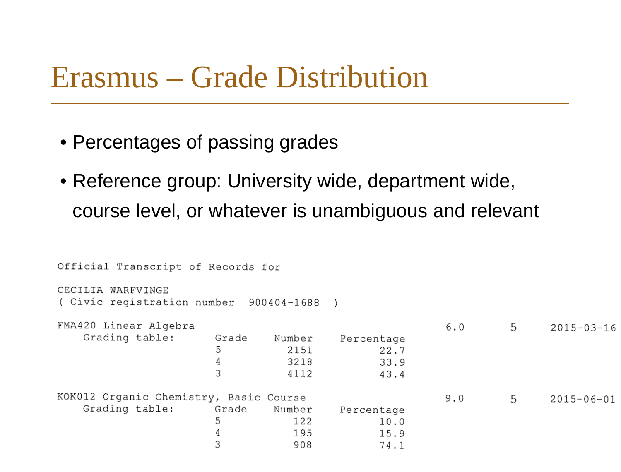#### Erasmus – Grade Distribution

- Percentages of passing grades
- Reference group: University wide, department wide, course level, or whatever is unambiguous and relevant

```
Official Transcript of Records for
CECILIA WARFVINGE
( Civic registration number
                                900404-1688
                                               \lambdaFMA420 Linear Algebra
                                                                             5
                                                                  6.02015 - 03 - 16Grading table:
                           Grade
                                     Number
                                                Percentage
                           5
                                       2151
                                                       22.74
                                       3218
                                                       33.9
                           \mathcal{L}4112
                                                       43.4
KOK012 Organic Chemistry, Basic Course
                                                                  9.05
                                                                                    2015 - 06 - 01Grading table:
                           Grade
                                     Number
                                                Percentage
                           5
                                        122
                                                       10.04
                                        195
                                                       15.9
                           3
                                        908
                                                       74.1
```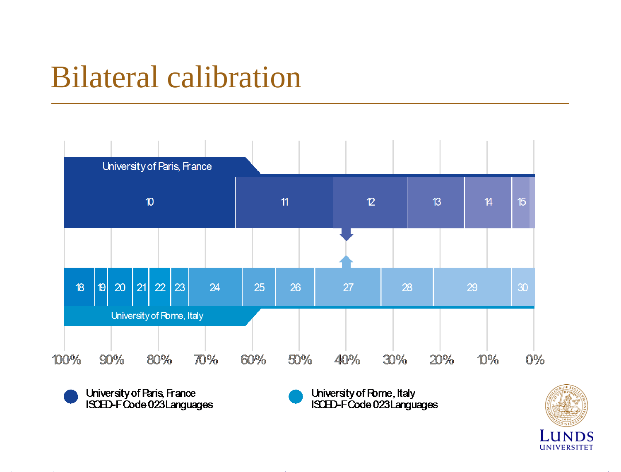#### Bilateral calibration



University of Paris, France ISCED-FCode 023 Languages University of Rome, Italy ISCED-FCode 023 Languages